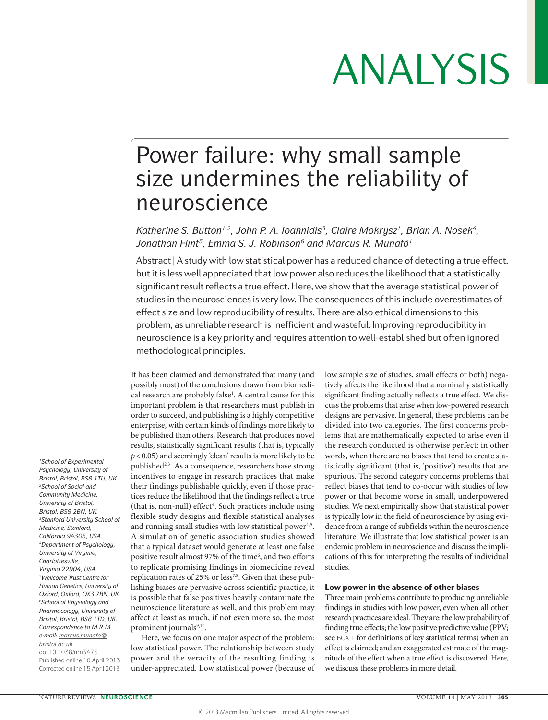## Power failure: why small sample size undermines the reliability of neuroscience

Katherine S. Button<sup>1,2</sup>, John P. A. Ioannidis<sup>3</sup>, Claire Mokrysz<sup>1</sup>, Brian A. Nosek<sup>4</sup>, *Jonathan Flint5, Emma S. J. Robinson6 and Marcus R. Munafò1*

Abstract | A study with low statistical power has a reduced chance of detecting a true effect, but it is less well appreciated that low power also reduces the likelihood that a statistically significant result reflects a true effect. Here, we show that the average statistical power of studies in the neurosciences is very low. The consequences of this include overestimates of effect size and low reproducibility of results. There are also ethical dimensions to this problem, as unreliable research is inefficient and wasteful. Improving reproducibility in neuroscience is a key priority and requires attention to well-established but often ignored methodological principles.

It has been claimed and demonstrated that many (and possibly most) of the conclusions drawn from biomedical research are probably false<sup>1</sup>. A central cause for this important problem is that researchers must publish in order to succeed, and publishing is a highly competitive enterprise, with certain kinds of findings more likely to be published than others. Research that produces novel results, statistically significant results (that is, typically *p*<0.05) and seemingly 'clean' results is more likely to be published<sup>2,3</sup>. As a consequence, researchers have strong incentives to engage in research practices that make their findings publishable quickly, even if those practices reduce the likelihood that the findings reflect a true (that is, non-null) effect<sup>4</sup>. Such practices include using flexible study designs and flexible statistical analyses and running small studies with low statistical power<sup>1,5</sup>. A simulation of genetic association studies showed that a typical dataset would generate at least one false positive result almost 97% of the time<sup>6</sup>, and two efforts to replicate promising findings in biomedicine reveal replication rates of 25% or less<sup>7,8</sup>. Given that these publishing biases are pervasive across scientific practice, it is possible that false positives heavily contaminate the neuroscience literature as well, and this problem may affect at least as much, if not even more so, the most prominent journals9,10.

Here, we focus on one major aspect of the problem: low statistical power. The relationship between study power and the veracity of the resulting finding is under-appreciated. Low statistical power (because of low sample size of studies, small effects or both) negatively affects the likelihood that a nominally statistically significant finding actually reflects a true effect. We discuss the problems that arise when low-powered research designs are pervasive. In general, these problems can be divided into two categories. The first concerns problems that are mathematically expected to arise even if the research conducted is otherwise perfect: in other words, when there are no biases that tend to create statistically significant (that is, 'positive') results that are spurious. The second category concerns problems that reflect biases that tend to co-occur with studies of low power or that become worse in small, underpowered studies. We next empirically show that statistical power is typically low in the field of neuroscience by using evidence from a range of subfields within the neuroscience literature. We illustrate that low statistical power is an endemic problem in neuroscience and discuss the implications of this for interpreting the results of individual studies.

#### Low power in the absence of other biases

Three main problems contribute to producing unreliable findings in studies with low power, even when all other research practices are ideal. They are: the low probability of finding true effects; the low positive predictive value (PPV; see BOX 1 for definitions of key statistical terms) when an effect is claimed; and an exaggerated estimate of the magnitude of the effect when a true effect is discovered. Here, we discuss these problems in more detail.

*Psychology, University of Bristol, Bristol, BS8 1TU, UK. 2School of Social and Community Medicine, University of Bristol, Bristol, BS8 2BN, UK. 3Stanford University School of Medicine, Stanford, California 94305, USA. 4Department of Psychology, University of Virginia, Charlottesville, Virginia 22904, USA. 5Wellcome Trust Centre for Human Genetics, University of Oxford, Oxford, OX3 7BN, UK. 6School of Physiology and Pharmacology, University of Bristol, Bristol, BS8 1TD, UK. Correspondence to M.R.M. e-mail: marcus.munafo@ bristol.ac.uk* doi:10.1038/nrn3475 Published online 10 April 2013

Corrected online 15 April 2013

*1School of Experimental*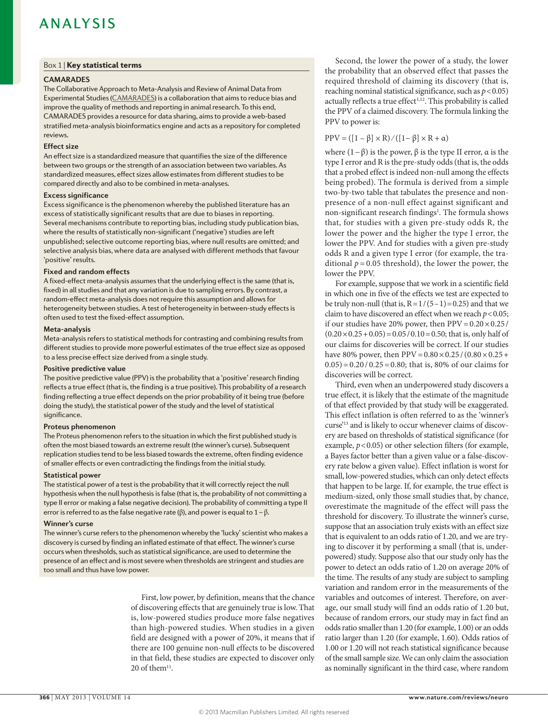#### Box 1 | Key statistical terms

#### **CAMARADES**

The Collaborative Approach to Meta-Analysis and Review of Animal Data from Experimental Studies [\(CAMARADES\)](http://www.camarades.info/) is a collaboration that aims to reduce bias and improve the quality of methods and reporting in animal research. To this end, CAMARADES provides a resource for data sharing, aims to provide a web-based stratified meta-analysis bioinformatics engine and acts as a repository for completed reviews.

#### **Effect size**

An effect size is a standardized measure that quantifies the size of the difference between two groups or the strength of an association between two variables. As standardized measures, effect sizes allow estimates from different studies to be compared directly and also to be combined in meta-analyses.

#### **Excess significance**

Excess significance is the phenomenon whereby the published literature has an excess of statistically significant results that are due to biases in reporting. Several mechanisms contribute to reporting bias, including study publication bias, where the results of statistically non-significant ('negative') studies are left unpublished; selective outcome reporting bias, where null results are omitted; and selective analysis bias, where data are analysed with different methods that favour 'positive' results.

#### **Fixed and random effects**

A fixed-effect meta-analysis assumes that the underlying effect is the same (that is, fixed) in all studies and that any variation is due to sampling errors. By contrast, a random-effect meta-analysis does not require this assumption and allows for heterogeneity between studies. A test of heterogeneity in between-study effects is often used to test the fixed-effect assumption.

#### **Meta-analysis**

Meta-analysis refers to statistical methods for contrasting and combining results from different studies to provide more powerful estimates of the true effect size as opposed to a less precise effect size derived from a single study.

#### **Positive predictive value**

The positive predictive value (PPV) is the probability that a 'positive' research finding reflects a true effect (that is, the finding is a true positive). This probability of a research finding reflecting a true effect depends on the prior probability of it being true (before doing the study), the statistical power of the study and the level of statistical significance.

#### **Proteus phenomenon**

The Proteus phenomenon refers to the situation in which the first published study is often the most biased towards an extreme result (the winner's curse). Subsequent replication studies tend to be less biased towards the extreme, often finding evidence of smaller effects or even contradicting the findings from the initial study.

#### **Statistical power**

The statistical power of a test is the probability that it will correctly reject the null hypothesis when the null hypothesis is false (that is, the probability of not committing a type II error or making a false negative decision). The probability of committing a type II error is referred to as the false negative rate (β), and power is equal to  $1 - \beta$ .

#### **Winner's curse**

The winner's curse refers to the phenomenon whereby the 'lucky' scientist who makes a discovery is cursed by finding an inflated estimate of that effect. The winner's curse occurs when thresholds, such as statistical significance, are used to determine the presence of an effect and is most severe when thresholds are stringent and studies are too small and thus have low power.

> First, low power, by definition, means that the chance of discovering effects that are genuinely true is low. That is, low-powered studies produce more false negatives than high-powered studies. When studies in a given field are designed with a power of 20%, it means that if there are 100 genuine non-null effects to be discovered in that field, these studies are expected to discover only  $20$  of them<sup>11</sup>.

Second, the lower the power of a study, the lower the probability that an observed effect that passes the required threshold of claiming its discovery (that is, reaching nominal statistical significance, such as  $p < 0.05$ ) actually reflects a true effect<sup>1,12</sup>. This probability is called the PPV of a claimed discovery. The formula linking the PPV to power is:

#### $PPV = (\lceil 1 - \beta \rceil \times R) / (\lceil 1 - \beta \rceil \times R + \alpha)$

where  $(1-\beta)$  is the power,  $\beta$  is the type II error, α is the type I error and R is the pre-study odds (that is, the odds that a probed effect is indeed non-null among the effects being probed). The formula is derived from a simple two-by-two table that tabulates the presence and nonpresence of a non-null effect against significant and non-significant research findings<sup>1</sup>. The formula shows that, for studies with a given pre-study odds R, the lower the power and the higher the type I error, the lower the PPV. And for studies with a given pre-study odds R and a given type I error (for example, the traditional  $p = 0.05$  threshold), the lower the power, the lower the PPV.

For example, suppose that we work in a scientific field in which one in five of the effects we test are expected to be truly non-null (that is,  $R=1/(5-1)=0.25$ ) and that we claim to have discovered an effect when we reach *p*<0.05; if our studies have 20% power, then  $PPV = 0.20 \times 0.25 /$  $(0.20 \times 0.25 + 0.05) = 0.05/0.10 = 0.50$ ; that is, only half of our claims for discoveries will be correct. If our studies have 80% power, then PPV =  $0.80 \times 0.25 / (0.80 \times 0.25 +$  $(0.05) = 0.20 / 0.25 = 0.80$ ; that is, 80% of our claims for discoveries will be correct.

Third, even when an underpowered study discovers a true effect, it is likely that the estimate of the magnitude of that effect provided by that study will be exaggerated. This effect inflation is often referred to as the 'winner's curse'13 and is likely to occur whenever claims of discovery are based on thresholds of statistical significance (for example,  $p < 0.05$ ) or other selection filters (for example, a Bayes factor better than a given value or a false-discovery rate below a given value). Effect inflation is worst for small, low-powered studies, which can only detect effects that happen to be large. If, for example, the true effect is medium-sized, only those small studies that, by chance, overestimate the magnitude of the effect will pass the threshold for discovery. To illustrate the winner's curse, suppose that an association truly exists with an effect size that is equivalent to an odds ratio of 1.20, and we are trying to discover it by performing a small (that is, underpowered) study. Suppose also that our study only has the power to detect an odds ratio of 1.20 on average 20% of the time. The results of any study are subject to sampling variation and random error in the measurements of the variables and outcomes of interest. Therefore, on average, our small study will find an odds ratio of 1.20 but, because of random errors, our study may in fact find an odds ratio smaller than 1.20 (for example, 1.00) or an odds ratio larger than 1.20 (for example, 1.60). Odds ratios of 1.00 or 1.20 will not reach statistical significance because of the small sample size. We can only claim the association as nominally significant in the third case, where random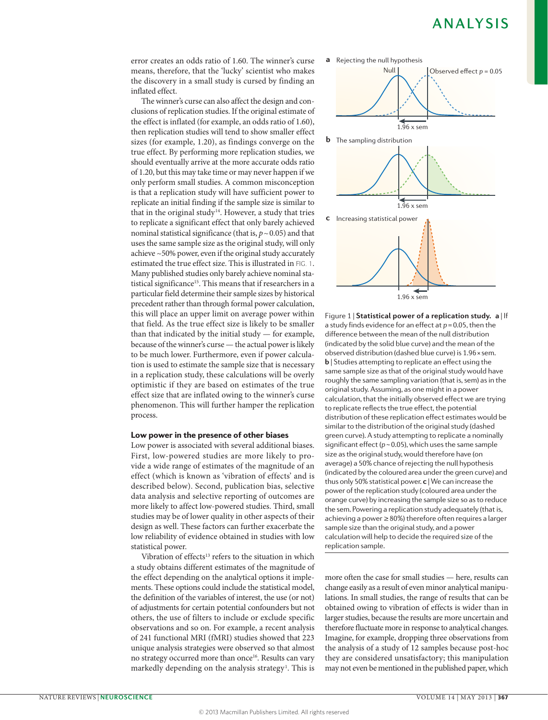error creates an odds ratio of 1.60. The winner's curse means, therefore, that the 'lucky' scientist who makes the discovery in a small study is cursed by finding an inflated effect.

The winner's curse can also affect the design and conclusions of replication studies. If the original estimate of the effect is inflated (for example, an odds ratio of 1.60), then replication studies will tend to show smaller effect sizes (for example, 1.20), as findings converge on the true effect. By performing more replication studies, we should eventually arrive at the more accurate odds ratio of 1.20, but this may take time or may never happen if we only perform small studies. A common misconception is that a replication study will have sufficient power to replicate an initial finding if the sample size is similar to that in the original study<sup>14</sup>. However, a study that tries to replicate a significant effect that only barely achieved nominal statistical significance (that is,  $p \sim 0.05$ ) and that uses the same sample size as the original study, will only achieve ~50% power, even if the original study accurately estimated the true effect size. This is illustrated in FIG. 1. Many published studies only barely achieve nominal statistical significance<sup>15</sup>. This means that if researchers in a particular field determine their sample sizes by historical precedent rather than through formal power calculation, this will place an upper limit on average power within that field. As the true effect size is likely to be smaller than that indicated by the initial study — for example, because of the winner's curse — the actual power is likely to be much lower. Furthermore, even if power calculation is used to estimate the sample size that is necessary in a replication study, these calculations will be overly optimistic if they are based on estimates of the true effect size that are inflated owing to the winner's curse phenomenon. This will further hamper the replication process.

#### Low power in the presence of other biases

Low power is associated with several additional biases. First, low-powered studies are more likely to provide a wide range of estimates of the magnitude of an effect (which is known as 'vibration of effects' and is described below). Second, publication bias, selective data analysis and selective reporting of outcomes are more likely to affect low-powered studies. Third, small studies may be of lower quality in other aspects of their design as well. These factors can further exacerbate the low reliability of evidence obtained in studies with low statistical power.

Vibration of effects<sup>13</sup> refers to the situation in which a study obtains different estimates of the magnitude of the effect depending on the analytical options it implements. These options could include the statistical model, the definition of the variables of interest, the use (or not) of adjustments for certain potential confounders but not others, the use of filters to include or exclude specific observations and so on. For example, a recent analysis of 241 functional MRI (fMRI) studies showed that 223 unique analysis strategies were observed so that almost no strategy occurred more than once<sup>16</sup>. Results can vary markedly depending on the analysis strategy<sup>1</sup>. This is



**Nature Reviews** | **Neuroscience** difference between the mean of the null distribution Figure 1 | **Statistical power of a replication study. a** | If a study finds evidence for an effect at *p*=0.05, then the (indicated by the solid blue curve) and the mean of the observed distribution (dashed blue curve) is 1.96×sem. **b** | Studies attempting to replicate an effect using the same sample size as that of the original study would have roughly the same sampling variation (that is, sem) as in the original study. Assuming, as one might in a power calculation, that the initially observed effect we are trying to replicate reflects the true effect, the potential distribution of these replication effect estimates would be similar to the distribution of the original study (dashed green curve). A study attempting to replicate a nominally significant effect ( $p \sim 0.05$ ), which uses the same sample size as the original study, would therefore have (on average) a 50% chance of rejecting the null hypothesis (indicated by the coloured area under the green curve) and thus only 50% statistical power. **c** | We can increase the power of the replication study (coloured area under the orange curve) by increasing the sample size so as to reduce the sem. Powering a replication study adequately (that is, achieving a power ≥80%) therefore often requires a larger sample size than the original study, and a power calculation will help to decide the required size of the replication sample.

more often the case for small studies — here, results can change easily as a result of even minor analytical manipulations. In small studies, the range of results that can be obtained owing to vibration of effects is wider than in larger studies, because the results are more uncertain and therefore fluctuate more in response to analytical changes. Imagine, for example, dropping three observations from the analysis of a study of 12 samples because post-hoc they are considered unsatisfactory; this manipulation may not even be mentioned in the published paper, which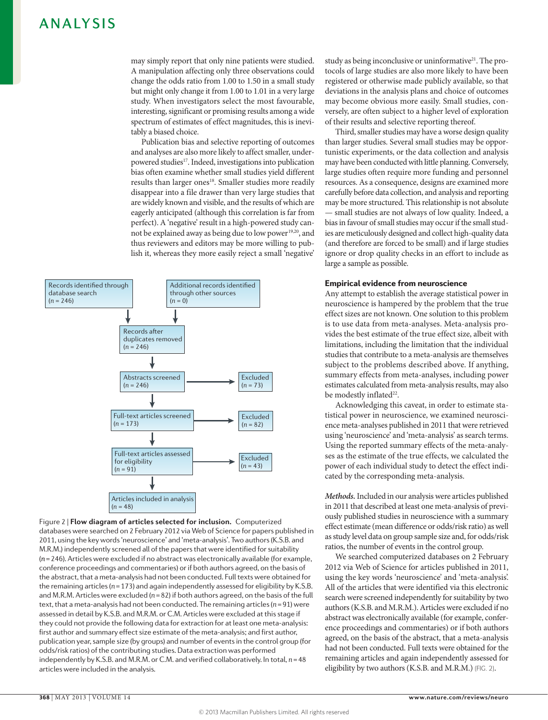may simply report that only nine patients were studied. A manipulation affecting only three observations could change the odds ratio from 1.00 to 1.50 in a small study but might only change it from 1.00 to 1.01 in a very large study. When investigators select the most favourable, interesting, significant or promising results among a wide spectrum of estimates of effect magnitudes, this is inevitably a biased choice.

Publication bias and selective reporting of outcomes and analyses are also more likely to affect smaller, underpowered studies<sup>17</sup>. Indeed, investigations into publication bias often examine whether small studies yield different results than larger ones<sup>18</sup>. Smaller studies more readily disappear into a file drawer than very large studies that are widely known and visible, and the results of which are eagerly anticipated (although this correlation is far from perfect). A 'negative' result in a high-powered study cannot be explained away as being due to low power<sup>19,20</sup>, and thus reviewers and editors may be more willing to publish it, whereas they more easily reject a small 'negative'





study as being inconclusive or uninformative<sup>21</sup>. The protocols of large studies are also more likely to have been registered or otherwise made publicly available, so that deviations in the analysis plans and choice of outcomes may become obvious more easily. Small studies, conversely, are often subject to a higher level of exploration of their results and selective reporting thereof.

Third, smaller studies may have a worse design quality than larger studies. Several small studies may be opportunistic experiments, or the data collection and analysis may have been conducted with little planning. Conversely, large studies often require more funding and personnel resources. As a consequence, designs are examined more carefully before data collection, and analysis and reporting may be more structured. This relationship is not absolute — small studies are not always of low quality. Indeed, a bias in favour of small studies may occur if the small studies are meticulously designed and collect high-quality data (and therefore are forced to be small) and if large studies ignore or drop quality checks in an effort to include as large a sample as possible.

#### Empirical evidence from neuroscience

Any attempt to establish the average statistical power in neuroscience is hampered by the problem that the true effect sizes are not known. One solution to this problem is to use data from meta-analyses. Meta-analysis provides the best estimate of the true effect size, albeit with limitations, including the limitation that the individual studies that contribute to a meta-analysis are themselves subject to the problems described above. If anything, summary effects from meta-analyses, including power estimates calculated from meta-analysis results, may also be modestly inflated<sup>22</sup>.

Acknowledging this caveat, in order to estimate statistical power in neuroscience, we examined neuroscience meta-analyses published in 2011 that were retrieved using 'neuroscience' and 'meta-analysis' as search terms. Using the reported summary effects of the meta-analyses as the estimate of the true effects, we calculated the power of each individual study to detect the effect indicated by the corresponding meta-analysis.

*Methods.* Included in our analysis were articles published in 2011 that described at least one meta-analysis of previously published studies in neuroscience with a summary effect estimate (mean difference or odds/risk ratio) as well as study level data on group sample size and, for odds/risk ratios, the number of events in the control group.

We searched computerized databases on 2 February 2012 via Web of Science for articles published in 2011, using the key words 'neuroscience' and 'meta-analysis'. All of the articles that were identified via this electronic search were screened independently for suitability by two authors (K.S.B. and M.R.M.). Articles were excluded if no abstract was electronically available (for example, conference proceedings and commentaries) or if both authors agreed, on the basis of the abstract, that a meta-analysis had not been conducted. Full texts were obtained for the remaining articles and again independently assessed for eligibility by two authors (K.S.B. and M.R.M.) (FIG. 2).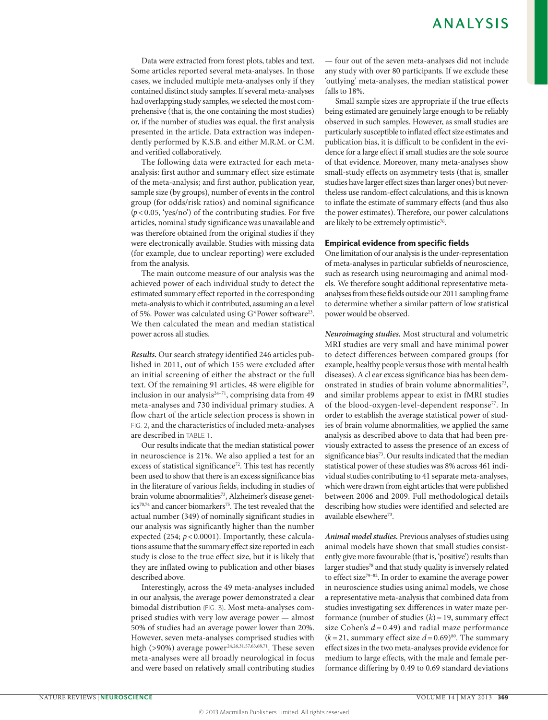Data were extracted from forest plots, tables and text. Some articles reported several meta-analyses. In those cases, we included multiple meta-analyses only if they contained distinct study samples. If several meta-analyses had overlapping study samples, we selected the most comprehensive (that is, the one containing the most studies) or, if the number of studies was equal, the first analysis presented in the article. Data extraction was independently performed by K.S.B. and either M.R.M. or C.M. and verified collaboratively.

The following data were extracted for each metaanalysis: first author and summary effect size estimate of the meta-analysis; and first author, publication year, sample size (by groups), number of events in the control group (for odds/risk ratios) and nominal significance  $(p<0.05, 'yes/no')$  of the contributing studies. For five articles, nominal study significance was unavailable and was therefore obtained from the original studies if they were electronically available. Studies with missing data (for example, due to unclear reporting) were excluded from the analysis.

The main outcome measure of our analysis was the achieved power of each individual study to detect the estimated summary effect reported in the corresponding meta-analysis to which it contributed, assuming an α level of 5%. Power was calculated using G\*Power software<sup>23</sup>. We then calculated the mean and median statistical power across all studies.

*Results.* Our search strategy identified 246 articles published in 2011, out of which 155 were excluded after an initial screening of either the abstract or the full text. Of the remaining 91 articles, 48 were eligible for inclusion in our analysis $24-71$ , comprising data from 49 meta-analyses and 730 individual primary studies. A flow chart of the article selection process is shown in FIG. 2, and the characteristics of included meta-analyses are described in TABLE 1.

Our results indicate that the median statistical power in neuroscience is 21%. We also applied a test for an excess of statistical significance<sup>72</sup>. This test has recently been used to show that there is an excess significance bias in the literature of various fields, including in studies of brain volume abnormalities<sup>73</sup>, Alzheimer's disease genetics<sup>70,74</sup> and cancer biomarkers<sup>75</sup>. The test revealed that the actual number (349) of nominally significant studies in our analysis was significantly higher than the number expected (254;  $p < 0.0001$ ). Importantly, these calculations assume that the summary effect size reported in each study is close to the true effect size, but it is likely that they are inflated owing to publication and other biases described above.

Interestingly, across the 49 meta-analyses included in our analysis, the average power demonstrated a clear bimodal distribution (FIG. 3). Most meta-analyses comprised studies with very low average power — almost 50% of studies had an average power lower than 20%. However, seven meta-analyses comprised studies with high (>90%) average power<sup>24,26,31,57,63,68,71</sup>. These seven meta-analyses were all broadly neurological in focus and were based on relatively small contributing studies — four out of the seven meta-analyses did not include any study with over 80 participants. If we exclude these 'outlying' meta-analyses, the median statistical power falls to 18%.

Small sample sizes are appropriate if the true effects being estimated are genuinely large enough to be reliably observed in such samples. However, as small studies are particularly susceptible to inflated effect size estimates and publication bias, it is difficult to be confident in the evidence for a large effect if small studies are the sole source of that evidence. Moreover, many meta-analyses show small-study effects on asymmetry tests (that is, smaller studies have larger effect sizes than larger ones) but nevertheless use random-effect calculations, and this is known to inflate the estimate of summary effects (and thus also the power estimates). Therefore, our power calculations are likely to be extremely optimistic<sup>76</sup>.

#### Empirical evidence from specific fields

One limitation of our analysis is the under-representation of meta-analyses in particular subfields of neuroscience, such as research using neuroimaging and animal models. We therefore sought additional representative metaanalyses from these fields outside our 2011 sampling frame to determine whether a similar pattern of low statistical power would be observed.

*Neuroimaging studies.* Most structural and volumetric MRI studies are very small and have minimal power to detect differences between compared groups (for example, healthy people versus those with mental health diseases). A cl ear excess significance bias has been demonstrated in studies of brain volume abnormalities<sup>73</sup>, and similar problems appear to exist in fMRI studies of the blood-oxygen-level-dependent response<sup>77</sup>. In order to establish the average statistical power of studies of brain volume abnormalities, we applied the same analysis as described above to data that had been previously extracted to assess the presence of an excess of significance bias<sup>73</sup>. Our results indicated that the median statistical power of these studies was 8% across 461 individual studies contributing to 41 separate meta-analyses, which were drawn from eight articles that were published between 2006 and 2009. Full methodological details describing how studies were identified and selected are available elsewhere<sup>73</sup>.

*Animal model studies.* Previous analyses of studies using animal models have shown that small studies consistently give more favourable (that is, 'positive') results than larger studies<sup>78</sup> and that study quality is inversely related to effect size<sup>79-82</sup>. In order to examine the average power in neuroscience studies using animal models, we chose a representative meta-analysis that combined data from studies investigating sex differences in water maze performance (number of studies  $(k) = 19$ , summary effect size Cohen's  $d = 0.49$ ) and radial maze performance  $(k=21,$  summary effect size  $d=0.69)$ <sup>80</sup>. The summary effect sizes in the two meta-analyses provide evidence for medium to large effects, with the male and female performance differing by 0.49 to 0.69 standard deviations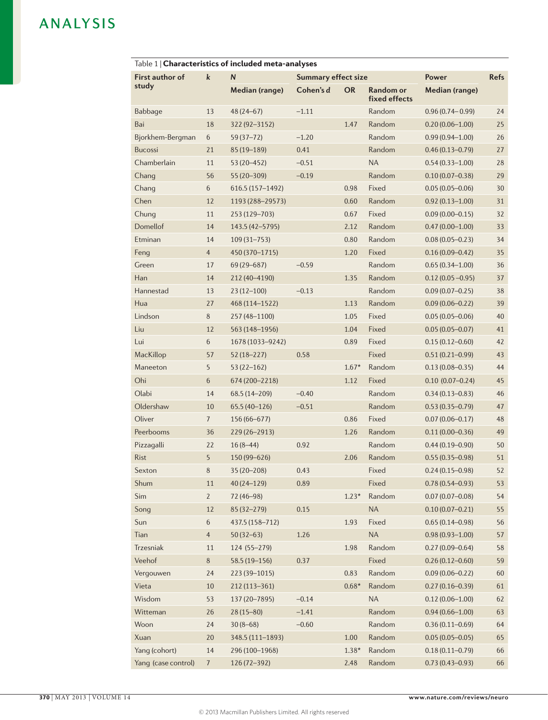| Table 1   Characteristics of included meta-analyses |                 |                                 |           |           |                                   |                     |             |
|-----------------------------------------------------|-----------------|---------------------------------|-----------|-----------|-----------------------------------|---------------------|-------------|
| First author of                                     | $\bf k$         | N<br><b>Summary effect size</b> |           |           |                                   | Power               | <b>Refs</b> |
| study                                               |                 | Median (range)                  | Cohen's d | <b>OR</b> | <b>Random or</b><br>fixed effects | Median (range)      |             |
| Babbage                                             | 13              | $48(24 - 67)$                   | $-1.11$   |           | Random                            | $0.96(0.74 - 0.99)$ | 24          |
| Bai                                                 | 18              | 322 (92-3152)                   |           | 1.47      | Random                            | $0.20(0.06 - 1.00)$ | 25          |
| Bjorkhem-Bergman                                    | $6\phantom{.}$  | $59(37 - 72)$                   | $-1.20$   |           | Random                            | $0.99(0.94 - 1.00)$ | 26          |
| <b>Bucossi</b>                                      | 21              | $85(19-189)$                    | 0.41      |           | Random                            | $0.46(0.13 - 0.79)$ | 27          |
| Chamberlain                                         | 11              | 53 (20 - 452)                   | $-0.51$   |           | <b>NA</b>                         | $0.54(0.33 - 1.00)$ | 28          |
| Chang                                               | 56              | $55(20-309)$                    | $-0.19$   |           | Random                            | $0.10(0.07 - 0.38)$ | 29          |
| Chang                                               | $6\phantom{.}$  | 616.5 (157-1492)                |           | 0.98      | Fixed                             | $0.05(0.05 - 0.06)$ | 30          |
| Chen                                                | 12              | 1193 (288-29573)                |           | 0.60      | Random                            | $0.92(0.13 - 1.00)$ | 31          |
| Chung                                               | 11              | 253 (129-703)                   |           | 0.67      | Fixed                             | $0.09(0.00 - 0.15)$ | 32          |
| Domellof                                            | 14              | 143.5 (42–5795)                 |           | 2.12      | Random                            | $0.47(0.00-1.00)$   | 33          |
| Etminan                                             | 14              | $109(31 - 753)$                 |           | 0.80      | Random                            | $0.08(0.05 - 0.23)$ | 34          |
| Feng                                                | $\overline{4}$  | 450 (370-1715)                  |           | 1.20      | Fixed                             | $0.16(0.09 - 0.42)$ | 35          |
| Green                                               | 17              | 69 (29 - 687)                   | $-0.59$   |           | Random                            | $0.65(0.34 - 1.00)$ | 36          |
| Han                                                 | 14              | 212 (40-4190)                   |           | 1.35      | Random                            | $0.12(0.05 - 0.95)$ | 37          |
| Hannestad                                           | 13              | $23(12-100)$                    | $-0.13$   |           | Random                            | $0.09(0.07 - 0.25)$ | 38          |
| Hua                                                 | 27              | 468 (114-1522)                  |           | 1.13      | Random                            | $0.09(0.06 - 0.22)$ | 39          |
| Lindson                                             | $\,8\,$         | 257 (48-1100)                   |           | 1.05      | Fixed                             | $0.05(0.05 - 0.06)$ | 40          |
| Liu                                                 | 12              | 563 (148-1956)                  |           | 1.04      | Fixed                             | $0.05(0.05 - 0.07)$ | 41          |
| Lui                                                 | $6\phantom{.}$  | 1678 (1033-9242)                |           | 0.89      | Fixed                             | $0.15(0.12 - 0.60)$ | 42          |
| MacKillop                                           | 57              | $52(18 - 227)$                  | 0.58      |           | Fixed                             | $0.51(0.21 - 0.99)$ | 43          |
| Maneeton                                            | 5               | $53(22-162)$                    |           | $1.67*$   | Random                            | $0.13(0.08 - 0.35)$ | 44          |
| Ohi                                                 | $6\phantom{.}6$ | 674 (200-2218)                  |           | 1.12      | Fixed                             | $0.10(0.07 - 0.24)$ | 45          |
| Olabi                                               | 14              | 68.5 (14-209)                   | $-0.40$   |           | Random                            | $0.34(0.13 - 0.83)$ | 46          |
| Oldershaw                                           | 10              | $65.5(40-126)$                  | $-0.51$   |           | Random                            | $0.53(0.35 - 0.79)$ | 47          |
| Oliver                                              | $\overline{7}$  | 156 (66-677)                    |           | 0.86      | Fixed                             | $0.07(0.06 - 0.17)$ | 48          |
| Peerbooms                                           | 36              | 229 (26-2913)                   |           | 1.26      | Random                            | $0.11(0.00 - 0.36)$ | 49          |
| Pizzagalli                                          | 22              | $16(8-44)$                      | 0.92      |           | Random                            | $0.44(0.19-0.90)$   | 50          |
| <b>Rist</b>                                         | 5               | 150 (99-626)                    |           | 2.06      | Random                            | $0.55(0.35 - 0.98)$ | 51          |
| Sexton                                              | 8               | 35 (20-208)                     | 0.43      |           | Fixed                             | $0.24(0.15 - 0.98)$ | 52          |
| Shum                                                | 11              | $40(24 - 129)$                  | 0.89      |           | Fixed                             | $0.78(0.54 - 0.93)$ | 53          |
| Sim                                                 | $\mathbf{2}$    | $72(46 - 98)$                   |           | $1.23*$   | Random                            | $0.07(0.07 - 0.08)$ | 54          |
| Song                                                | 12              | $85(32 - 279)$                  | 0.15      |           | $\sf NA$                          | $0.10(0.07 - 0.21)$ | 55          |
| Sun                                                 | 6               | 437.5 (158-712)                 |           | 1.93      | Fixed                             | $0.65(0.14 - 0.98)$ | 56          |
| Tian                                                | $\overline{4}$  | $50(32-63)$                     | 1.26      |           | $\sf NA$                          | $0.98(0.93 - 1.00)$ | 57          |
| Trzesniak                                           | 11              | 124 (55-279)                    |           | 1.98      | Random                            | $0.27(0.09 - 0.64)$ | 58          |
| Veehof                                              | $\,8\,$         | $58.5(19-156)$                  | 0.37      |           | Fixed                             | $0.26(0.12 - 0.60)$ | 59          |
| Vergouwen                                           | 24              | 223 (39-1015)                   |           | 0.83      | Random                            | $0.09(0.06 - 0.22)$ | 60          |
| Vieta                                               | $10\,$          | 212 (113-361)                   |           | $0.68*$   | Random                            | $0.27(0.16 - 0.39)$ | 61          |
| Wisdom                                              | 53              | 137 (20-7895)                   | $-0.14$   |           | NA                                | $0.12(0.06 - 1.00)$ | 62          |
| Witteman                                            | 26              | $28(15 - 80)$                   | $-1.41$   |           | Random                            | $0.94(0.66 - 1.00)$ | 63          |
| Woon                                                |                 | $30(8-68)$                      |           |           | Random                            | $0.36(0.11 - 0.69)$ |             |
| Xuan                                                | 24<br>20        | 348.5 (111-1893)                | $-0.60$   | $1.00\,$  | Random                            | $0.05(0.05 - 0.05)$ | 64<br>65    |
| Yang (cohort)                                       | $14\,$          | 296 (100-1968)                  |           | $1.38*$   | Random                            | $0.18(0.11 - 0.79)$ | 66          |
| Yang (case control)                                 |                 |                                 |           | 2.48      | Random                            |                     |             |
|                                                     | 7 <sup>7</sup>  | 126 (72-392)                    |           |           |                                   | $0.73(0.43 - 0.93)$ | 66          |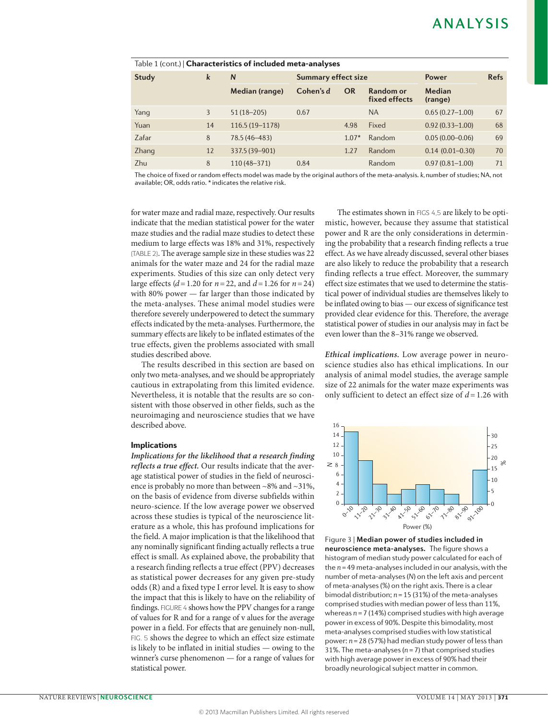| Table 1 (cont.)   Characteristics of included meta-analyses |    |                   |                            |           |                            |                          |             |  |  |
|-------------------------------------------------------------|----|-------------------|----------------------------|-----------|----------------------------|--------------------------|-------------|--|--|
| <b>Study</b>                                                | k  | N                 | <b>Summary effect size</b> |           |                            | Power                    | <b>Refs</b> |  |  |
|                                                             |    | Median (range)    | Cohen's d                  | <b>OR</b> | Random or<br>fixed effects | <b>Median</b><br>(range) |             |  |  |
| Yang                                                        | 3  | $51(18 - 205)$    | 0.67                       |           | <b>NA</b>                  | $0.65(0.27-1.00)$        | 67          |  |  |
| Yuan                                                        | 14 | 116.5 (19 - 1178) |                            | 4.98      | Fixed                      | $0.92(0.33 - 1.00)$      | 68          |  |  |
| Zafar                                                       | 8  | 78.5 (46-483)     |                            | $1.07*$   | Random                     | $0.05(0.00-0.06)$        | 69          |  |  |
| Zhang                                                       | 12 | 337.5 (39-901)    |                            | 1.27      | <b>Random</b>              | $0.14(0.01 - 0.30)$      | 70          |  |  |
| Zhu                                                         | 8  | $110(48 - 371)$   | 0.84                       |           | Random                     | $0.97(0.81 - 1.00)$      | 71          |  |  |

The choice of fixed or random effects model was made by the original authors of the meta-analysis. *k*, number of studies; NA, not available; OR, odds ratio. \* indicates the relative risk.

for water maze and radial maze, respectively. Our results indicate that the median statistical power for the water maze studies and the radial maze studies to detect these medium to large effects was 18% and 31%, respectively (TABLE 2). The average sample size in these studies was 22 animals for the water maze and 24 for the radial maze experiments. Studies of this size can only detect very large effects (*d*=1.20 for *n*=22, and *d*=1.26 for *n*=24) with 80% power — far larger than those indicated by the meta-analyses. These animal model studies were therefore severely underpowered to detect the summary effects indicated by the meta-analyses. Furthermore, the summary effects are likely to be inflated estimates of the true effects, given the problems associated with small studies described above.

The results described in this section are based on only two meta-analyses, and we should be appropriately cautious in extrapolating from this limited evidence. Nevertheless, it is notable that the results are so consistent with those observed in other fields, such as the neuroimaging and neuroscience studies that we have described above.

#### Implications

*Implications for the likelihood that a research finding reflects a true effect.* Our results indicate that the average statistical power of studies in the field of neuroscience is probably no more than between ~8% and ~31%, on the basis of evidence from diverse subfields within neuro-science. If the low average power we observed across these studies is typical of the neuroscience literature as a whole, this has profound implications for the field. A major implication is that the likelihood that any nominally significant finding actually reflects a true effect is small. As explained above, the probability that a research finding reflects a true effect (PPV) decreases as statistical power decreases for any given pre-study odds (R) and a fixed type I error level. It is easy to show the impact that this is likely to have on the reliability of findings. FIGURE 4 shows how the PPV changes for a range of values for R and for a range of v alues for the average power in a field. For effects that are genuinely non-null, FIG. 5 shows the degree to which an effect size estimate is likely to be inflated in initial studies — owing to the winner's curse phenomenon — for a range of values for statistical power.

 The estimates shown in FIGS 4,5 are likely to be optimistic, however, because they assume that statistical power and R are the only considerations in determining the probability that a research finding reflects a true effect. As we have already discussed, several other biases are also likely to reduce the probability that a research finding reflects a true effect. Moreover, the summary effect size estimates that we used to determine the statistical power of individual studies are themselves likely to be inflated owing to bias — our excess of significance test provided clear evidence for this. Therefore, the average statistical power of studies in our analysis may in fact be even lower than the 8–31% range we observed.

*Ethical implications.* Low average power in neuroscience studies also has ethical implications. In our analysis of animal model studies, the average sample size of 22 animals for the water maze experiments was only sufficient to detect an effect size of  $d = 1.26$  with



**neuroscience meta-analyses.** The figure shows a Figure 3 | **Median power of studies included in**  histogram of median study power calculated for each of the *n*=49 meta-analyses included in our analysis, with the number of meta-analyses (*N*) on the left axis and percent of meta-analyses (%) on the right axis. There is a clear bimodal distribution; *n*=15 (31%) of the meta-analyses comprised studies with median power of less than 11%, whereas *n*=7 (14%) comprised studies with high average power in excess of 90%. Despite this bimodality, most meta-analyses comprised studies with low statistical power: *n*=28 (57%) had median study power of less than 31%. The meta-analyses  $(n=7)$  that comprised studies with high average power in excess of 90% had their broadly neurological subject matter in common.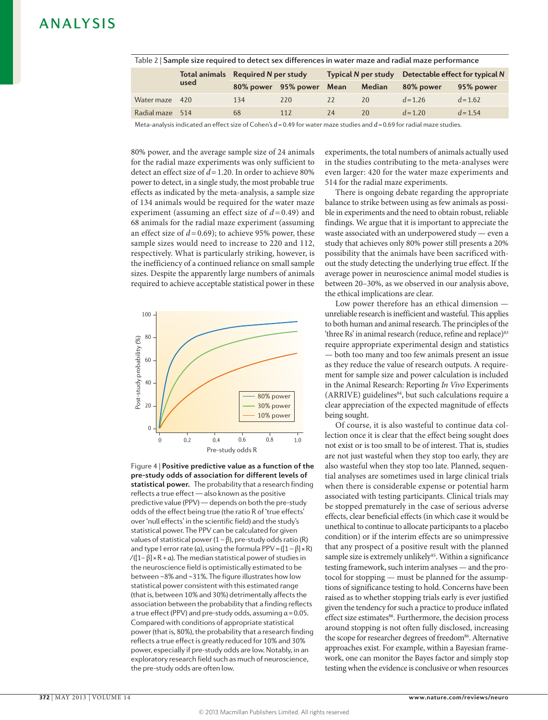| Table 2   Sample size required to detect sex differences in water maze and radial maze performance |     |     |                                                           |               |                                 |            |  |
|----------------------------------------------------------------------------------------------------|-----|-----|-----------------------------------------------------------|---------------|---------------------------------|------------|--|
| used                                                                                               |     |     | <b>Typical N per study</b>                                |               | Detectable effect for typical N |            |  |
|                                                                                                    |     |     | Mean                                                      | <b>Median</b> | 80% power                       | 95% power  |  |
| Water maze<br>420                                                                                  | 134 | 220 | 22                                                        | 20            | $d = 1.26$                      | $d = 1.62$ |  |
| Radial maze 514                                                                                    | 68  | 112 | 24                                                        | 20            | $d = 1.20$                      | $d = 1.54$ |  |
|                                                                                                    |     |     | Total animals Required N per study<br>80% power 95% power |               |                                 |            |  |

Meta-analysis indicated an effect size of Cohen's *d*=0.49 for water maze studies and *d*=0.69 for radial maze studies.

80% power, and the average sample size of 24 animals for the radial maze experiments was only sufficient to detect an effect size of *d*=1.20. In order to achieve 80% power to detect, in a single study, the most probable true effects as indicated by the meta-analysis, a sample size of 134 animals would be required for the water maze experiment (assuming an effect size of  $d = 0.49$ ) and 68 animals for the radial maze experiment (assuming an effect size of  $d = 0.69$ ); to achieve 95% power, these sample sizes would need to increase to 220 and 112, respectively. What is particularly striking, however, is the inefficiency of a continued reliance on small sample sizes. Despite the apparently large numbers of animals required to achieve acceptable statistical power in these



pre-study odds of association for different levels of Figure 4 | **Positive predictive value as a function of the statistical power.** The probability that a research finding reflects a true effect — also known as the positive predictive value (PPV) — depends on both the pre-study odds of the effect being true (the ratio R of 'true effects' over 'null effects' in the scientific field) and the study's statistical power. The PPV can be calculated for given values of statistical power ( $1 - \beta$ ), pre-study odds ratio (R) and type I error rate (α), using the formula PPV =  $([1 - \beta] \times R)$ ⁄ ([1− β]×R+α). The median statistical power of studies in the neuroscience field is optimistically estimated to be between ~8% and ~31%. The figure illustrates how low statistical power consistent with this estimated range (that is, between 10% and 30%) detrimentally affects the association between the probability that a finding reflects a true effect (PPV) and pre-study odds, assuming  $\alpha$  = 0.05. Compared with conditions of appropriate statistical power (that is, 80%), the probability that a research finding reflects a true effect is greatly reduced for 10% and 30% power, especially if pre-study odds are low. Notably, in an exploratory research field such as much of neuroscience, the pre-study odds are often low.

experiments, the total numbers of animals actually used in the studies contributing to the meta-analyses were even larger: 420 for the water maze experiments and 514 for the radial maze experiments.

There is ongoing debate regarding the appropriate balance to strike between using as few animals as possible in experiments and the need to obtain robust, reliable findings. We argue that it is important to appreciate the waste associated with an underpowered study — even a study that achieves only 80% power still presents a 20% possibility that the animals have been sacrificed without the study detecting the underlying true effect. If the average power in neuroscience animal model studies is between 20–30%, as we observed in our analysis above, the ethical implications are clear.

Low power therefore has an ethical dimension unreliable research is inefficient and wasteful. This applies to both human and animal research. The principles of the 'three Rs' in animal research (reduce, refine and replace)<sup>83</sup> require appropriate experimental design and statistics — both too many and too few animals present an issue as they reduce the value of research outputs. A requirement for sample size and power calculation is included in the Animal Research: Reporting *In Vivo* Experiments  $(ARRIVE)$  guidelines $84$ , but such calculations require a clear appreciation of the expected magnitude of effects being sought.

Of course, it is also wasteful to continue data collection once it is clear that the effect being sought does not exist or is too small to be of interest. That is, studies are not just wasteful when they stop too early, they are also wasteful when they stop too late. Planned, sequential analyses are sometimes used in large clinical trials when there is considerable expense or potential harm associated with testing participants. Clinical trials may be stopped prematurely in the case of serious adverse effects, clear beneficial effects (in which case it would be unethical to continue to allocate participants to a placebo condition) or if the interim effects are so unimpressive that any prospect of a positive result with the planned sample size is extremely unlikely<sup>85</sup>. Within a significance testing framework, such interim analyses — and the protocol for stopping — must be planned for the assumptions of significance testing to hold. Concerns have been raised as to whether stopping trials early is ever justified given the tendency for such a practice to produce inflated effect size estimates<sup>86</sup>. Furthermore, the decision process around stopping is not often fully disclosed, increasing the scope for researcher degrees of freedom<sup>86</sup>. Alternative approaches exist. For example, within a Bayesian framework, one can monitor the Bayes factor and simply stop testing when the evidence is conclusive or when resources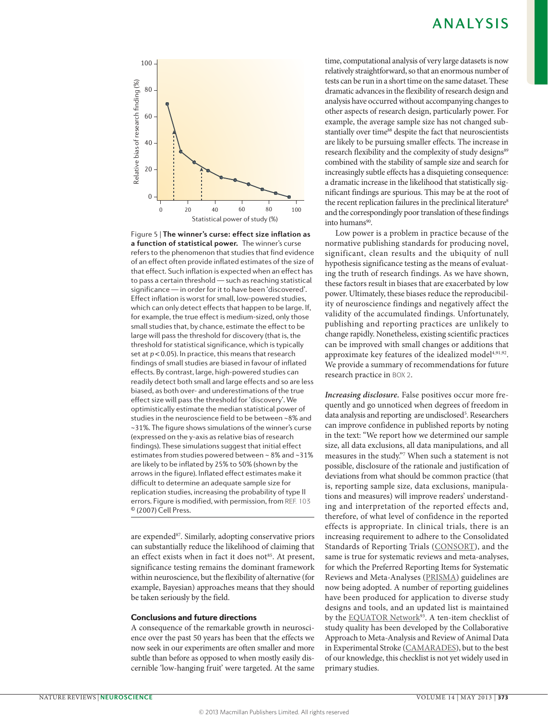

**Nature Reviews** | **Neuroscience a function of statistical power.** The winner's curse Figure 5 | **The winner's curse: effect size inflation as**  refers to the phenomenon that studies that find evidence of an effect often provide inflated estimates of the size of that effect. Such inflation is expected when an effect has to pass a certain threshold — such as reaching statistical significance — in order for it to have been 'discovered'. Effect inflation is worst for small, low-powered studies, which can only detect effects that happen to be large. If, for example, the true effect is medium-sized, only those small studies that, by chance, estimate the effect to be large will pass the threshold for discovery (that is, the threshold for statistical significance, which is typically set at  $p < 0.05$ ). In practice, this means that research findings of small studies are biased in favour of inflated effects. By contrast, large, high-powered studies can readily detect both small and large effects and so are less biased, as both over- and underestimations of the true effect size will pass the threshold for 'discovery'. We optimistically estimate the median statistical power of studies in the neuroscience field to be between ~8% and ~31%. The figure shows simulations of the winner's curse (expressed on the y-axis as relative bias of research findings). These simulations suggest that initial effect estimates from studies powered between ~ 8% and ~31% are likely to be inflated by 25% to 50% (shown by the arrows in the figure). Inflated effect estimates make it difficult to determine an adequate sample size for replication studies, increasing the probability of type II errors. Figure is modified, with permission, from REF. 103 © (2007) Cell Press.

are expended<sup>87</sup>. Similarly, adopting conservative priors can substantially reduce the likelihood of claiming that an effect exists when in fact it does not<sup>85</sup>. At present, significance testing remains the dominant framework within neuroscience, but the flexibility of alternative (for example, Bayesian) approaches means that they should be taken seriously by the field.

#### Conclusions and future directions

A consequence of the remarkable growth in neuroscience over the past 50 years has been that the effects we now seek in our experiments are often smaller and more subtle than before as opposed to when mostly easily discernible 'low-hanging fruit' were targeted. At the same time, computational analysis of very large datasets is now relatively straightforward, so that an enormous number of tests can be run in a short time on the same dataset. These dramatic advances in the flexibility of research design and analysis have occurred without accompanying changes to other aspects of research design, particularly power. For example, the average sample size has not changed substantially over time<sup>88</sup> despite the fact that neuroscientists are likely to be pursuing smaller effects. The increase in research flexibility and the complexity of study designs<sup>89</sup> combined with the stability of sample size and search for increasingly subtle effects has a disquieting consequence: a dramatic increase in the likelihood that statistically significant findings are spurious. This may be at the root of the recent replication failures in the preclinical literature<sup>8</sup> and the correspondingly poor translation of these findings into humans<sup>90</sup>.

Low power is a problem in practice because of the normative publishing standards for producing novel, significant, clean results and the ubiquity of null hypothesis significance testing as the means of evaluating the truth of research findings. As we have shown, these factors result in biases that are exacerbated by low power. Ultimately, these biases reduce the reproducibility of neuroscience findings and negatively affect the validity of the accumulated findings. Unfortunately, publishing and reporting practices are unlikely to change rapidly. Nonetheless, existing scientific practices can be improved with small changes or additions that approximate key features of the idealized model<sup>4,91,92</sup>. We provide a summary of recommendations for future research practice in BOX 2.

*Increasing disclosure.* False positives occur more frequently and go unnoticed when degrees of freedom in data analysis and reporting are undisclosed<sup>5</sup>. Researchers can improve confidence in published reports by noting in the text: "We report how we determined our sample size, all data exclusions, all data manipulations, and all measures in the study."7 When such a statement is not possible, disclosure of the rationale and justification of deviations from what should be common practice (that is, reporting sample size, data exclusions, manipulations and measures) will improve readers' understanding and interpretation of the reported effects and, therefore, of what level of confidence in the reported effects is appropriate. In clinical trials, there is an increasing requirement to adhere to the Consolidated Standards of Reporting Trials ([CONSORT\)](http://www.consort-statement.org/), and the same is true for systematic reviews and meta-analyses, for which the Preferred Reporting Items for Systematic Reviews and Meta-Analyses ([PRISMA\)](http://www.prisma-statement.org/) guidelines are now being adopted. A number of reporting guidelines have been produced for application to diverse study designs and tools, and an updated list is maintained by the EQUATOR Network<sup>93</sup>. A ten-item checklist of study quality has been developed by the Collaborative Approach to Meta-Analysis and Review of Animal Data in Experimental Stroke ([CAMARADES\)](http://www.camarades.info/), but to the best of our knowledge, this checklist is not yet widely used in primary studies.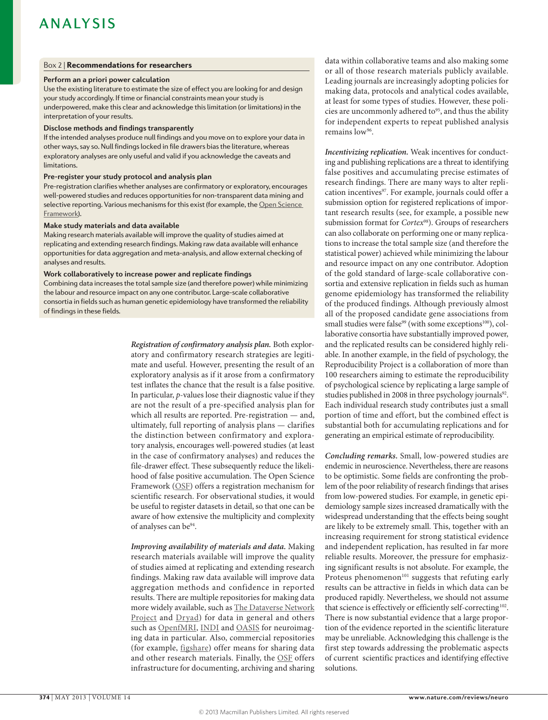#### Box 2 | Recommendations for researchers

#### **Perform an a priori power calculation**

Use the existing literature to estimate the size of effect you are looking for and design your study accordingly. If time or financial constraints mean your study is underpowered, make this clear and acknowledge this limitation (or limitations) in the interpretation of your results.

#### **Disclose methods and findings transparently**

If the intended analyses produce null findings and you move on to explore your data in other ways, say so. Null findings locked in file drawers bias the literature, whereas exploratory analyses are only useful and valid if you acknowledge the caveats and limitations.

#### **Pre-register your study protocol and analysis plan**

Pre-registration clarifies whether analyses are confirmatory or exploratory, encourages well-powered studies and reduces opportunities for non-transparent data mining and selective reporting. Various mechanisms for this exist (for example, the Open Science [Framework](http://openscienceframework.org/)).

#### **Make study materials and data available**

Making research materials available will improve the quality of studies aimed at replicating and extending research findings. Making raw data available will enhance opportunities for data aggregation and meta-analysis, and allow external checking of analyses and results.

#### **Work collaboratively to increase power and replicate findings**

Combining data increases the total sample size (and therefore power) while minimizing the labour and resource impact on any one contributor. Large-scale collaborative consortia in fields such as human genetic epidemiology have transformed the reliability of findings in these fields.

> *Registration of confirmatory analysis plan.* Both exploratory and confirmatory research strategies are legitimate and useful. However, presenting the result of an exploratory analysis as if it arose from a confirmatory test inflates the chance that the result is a false positive. In particular, *p*-values lose their diagnostic value if they are not the result of a pre-specified analysis plan for which all results are reported. Pre-registration — and, ultimately, full reporting of analysis plans — clarifies the distinction between confirmatory and exploratory analysis, encourages well-powered studies (at least in the case of confirmatory analyses) and reduces the file-drawer effect. These subsequently reduce the likelihood of false positive accumulation. The Open Science Framework [\(OSF]( http://openscienceframework.org/)) offers a registration mechanism for scientific research. For observational studies, it would be useful to register datasets in detail, so that one can be aware of how extensive the multiplicity and complexity of analyses can be<sup>94</sup>.

> *Improving availability of materials and data.* Making research materials available will improve the quality of studies aimed at replicating and extending research findings. Making raw data available will improve data aggregation methods and confidence in reported results. There are multiple repositories for making data more widely available, such as The Dataverse Network [Project](http://thedata.org) and [Dryad](http://datadryad.org/)) for data in general and others such as [OpenfMRI](http://www.openfmri.org/), [INDI](http://fcon_1000.projects.nitrc.org/) and [OASIS](http://www.oasis-open.org) for neuroimaging data in particular. Also, commercial repositories (for example, [figshare\)](http://figshare.com/) offer means for sharing data and other research materials. Finally, the [OSF](http://openscienceframework.org/) offers infrastructure for documenting, archiving and sharing

data within collaborative teams and also making some or all of those research materials publicly available. Leading journals are increasingly adopting policies for making data, protocols and analytical codes available, at least for some types of studies. However, these policies are uncommonly adhered to<sup>95</sup>, and thus the ability for independent experts to repeat published analysis remains low<sup>96</sup>.

*Incentivizing replication.* Weak incentives for conducting and publishing replications are a threat to identifying false positives and accumulating precise estimates of research findings. There are many ways to alter replication incentives<sup>97</sup>. For example, journals could offer a submission option for registered replications of important research results (see, for example, a possible new submission format for *Cortex*98). Groups of researchers can also collaborate on performing one or many replications to increase the total sample size (and therefore the statistical power) achieved while minimizing the labour and resource impact on any one contributor. Adoption of the gold standard of large-scale collaborative consortia and extensive replication in fields such as human genome epidemiology has transformed the reliability of the produced findings. Although previously almost all of the proposed candidate gene associations from small studies were false<sup>99</sup> (with some exceptions<sup>100</sup>), collaborative consortia have substantially improved power, and the replicated results can be considered highly reliable. In another example, in the field of psychology, the Reproducibility Project is a collaboration of more than 100 researchers aiming to estimate the reproducibility of psychological science by replicating a large sample of studies published in 2008 in three psychology journals<sup>92</sup>. Each individual research study contributes just a small portion of time and effort, but the combined effect is substantial both for accumulating replications and for generating an empirical estimate of reproducibility.

*Concluding remarks.* Small, low-powered studies are endemic in neuroscience. Nevertheless, there are reasons to be optimistic. Some fields are confronting the problem of the poor reliability of research findings that arises from low-powered studies. For example, in genetic epidemiology sample sizes increased dramatically with the widespread understanding that the effects being sought are likely to be extremely small. This, together with an increasing requirement for strong statistical evidence and independent replication, has resulted in far more reliable results. Moreover, the pressure for emphasizing significant results is not absolute. For example, the Proteus phenomenon<sup>101</sup> suggests that refuting early results can be attractive in fields in which data can be produced rapidly. Nevertheless, we should not assume that science is effectively or efficiently self-correcting<sup>102</sup>. There is now substantial evidence that a large proportion of the evidence reported in the scientific literature may be unreliable. Acknowledging this challenge is the first step towards addressing the problematic aspects of current scientific practices and identifying effective solutions.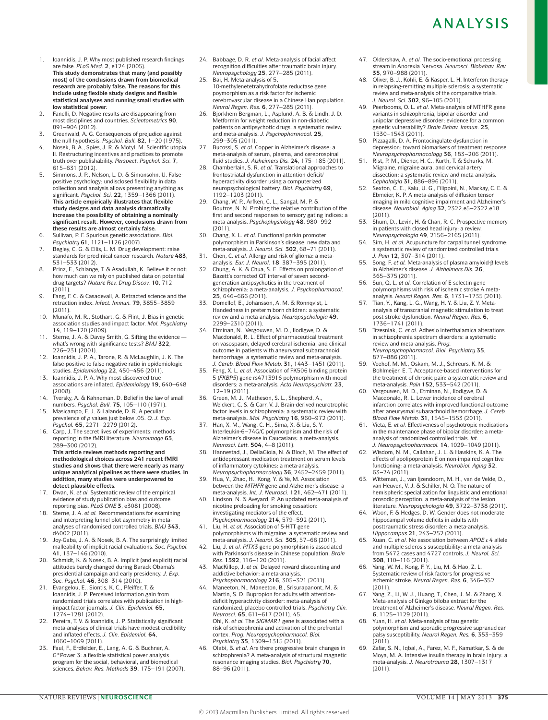- 1. Ioannidis, J. P. Why most published research findings are false. *PLoS Med.* **2**, e124 (2005). **This study demonstrates that many (and possibly most) of the conclusions drawn from biomedical research are probably false. The reasons for this include using flexible study designs and flexible statistical analyses and running small studies with low statistical power.**
- 2. Fanelli, D. Negative results are disappearing from most disciplines and countries. *Scientometrics* **90**, 891–904 (2012).
- 3. Greenwald, A. G. Consequences of prejudice against the null hypothesis. *Psychol. Bull.* **82**, 1–20 (1975). 4. Nosek, B. A., Spies, J. R. & Motyl, M. Scientific utopia:
- II. Restructuring incentives and practices to promote truth over publishability. *Perspect. Psychol. Sci.* **7**, 615–631 (2012).
- 5. Simmons, J. P., Nelson, L. D. & Simonsohn, U. Falsepositive psychology: undisclosed flexibility in data collection and analysis allows presenting anything as significant. *Psychol. Sci.* **22**, 1359–1366 (2011). **This article empirically illustrates that flexible study designs and data analysis dramatically increase the possibility of obtaining a nominally significant result. However, conclusions drawn from these results are almost certainly false.**
- 6. Sullivan, P. F. Spurious genetic associations. *Biol. Psychiatry* **61**, 1121–1126 (2007).
- 7. Begley, C. G. & Ellis, L. M. Drug development: raise standards for preclinical cancer research. *Nature* **483**, 531–533 (2012).
- 8. Prinz, F., Schlange, T. & Asadullah, K. Believe it or not: how much can we rely on published data on potential drug targets? *Nature Rev. Drug Discov.* **10**, 712 (2011).
- 9. Fang, F. C. & Casadevall, A. Retracted science and the retraction index. *Infect. Immun.* **79**, 3855–3859 (2011).
- 10. Munafo, M. R., Stothart, G. & Flint, J. Bias in genetic association studies and impact factor. *Mol. Psychiatry*  **14**, 119–120 (2009).
- 11. Sterne, J. A. & Davey Smith, G. Sifting the evidence what's wrong with significance tests? *BMJ* **322**, 226–231 (2001).
- 12. Ioannidis, J. P. A., Tarone, R. & McLaughlin, J. K. The false-positive to false-negative ratio in epidemiologic studies. *Epidemiology* **22**, 450–456 (2011).
- 13. Ioannidis, J. P. A. Why most discovered true associations are inflated. *Epidemiology* **19**, 640–648 (2008).
- 14. Tversky, A. & Kahneman, D. Belief in the law of small numbers. *Psychol. Bull.* **75**, 105–110 (1971).
- 15. Masicampo, E. J. & Lalande, D. R. A peculiar prevalence of *p* values just below .05. *Q. J. Exp. Psychol.* **65**, 2271–2279 (2012).
- 16. Carp, J. The secret lives of experiments: methods reporting in the fMRI literature. *Neuroimage* **63**, 289–300 (2012).

#### **This article reviews methods reporting and methodological choices across 241 recent fMRI studies and shows that there were nearly as many unique analytical pipelines as there were studies. In addition, many studies were underpowered to detect plausible effects.**

- 17. Dwan, K. *et al.* Systematic review of the empirical evidence of study publication bias and outcome reporting bias. *PLoS ONE* **3**, e3081 (2008).
- 18. Sterne, J. A. *et al.* Recommendations for examining and interpreting funnel plot asymmetry in meta-analyses of randomised controlled trials. *BMJ* **343**, d4002 (2011).
- 19. Joy-Gaba, J. A. & Nosek, B. A. The surprisingly limited malleability of implicit racial evaluations. *Soc. Psychol.*  **41**, 137–146 (2010).
- 20. Schmidt, K. & Nosek, B. A. Implicit (and explicit) racial attitudes barely changed during Barack Obama's presidential campaign and early presidency. *J. Exp. Soc. Psychol.* **46**, 308–314 (2010).
- 21. Evangelou, E., Siontis, K. C., Pfeiffer, T. & Ioannidis, J. P. Perceived information gain from randomized trials correlates with publication in highimpact factor journals. *J. Clin. Epidemiol.* **65**, 1274–1281 (2012).
- 22. Pereira, T. V. & Ioannidis, J. P. Statistically significant meta-analyses of clinical trials have modest credibility and inflated effects. *J. Clin. Epidemiol.* **64**, 1060–1069 (2011).
- 23. Faul, F., Erdfelder, E., Lang, A. G. & Buchner, A. G\*Power 3: a flexible statistical power analysis program for the social, behavioral, and biomedical sciences. *Behav. Res. Methods* **39**, 175–191 (2007).
- 24. Babbage, D. R. *et al.* Meta-analysis of facial affect recognition difficulties after traumatic brain injury. *Neuropsychology* **25**, 277–285 (2011).
- 25. Bai, H. Meta-analysis of 5, 10-methylenetetrahydrofolate reductase gene poymorphism as a risk factor for ischemi cerebrovascular disease in a Chinese Han population. *Neural Regen. Res.* **6**, 277–285 (2011).
- 26. Bjorkhem-Bergman, L., Asplund, A. B. & Lindh, J. D. Metformin for weight reduction in non-diabetic patients on antipsychotic drugs: a systematic review and meta-analysis. *J. Psychopharmacol.* **25**, 299–305 (2011).
- 27. Bucossi, S. *et al.* Copper in Alzheimer's disease: a meta-analysis of serum, plasma, and cerebrospinal fluid studies. *J. Alzheimers Dis.* **24**, 175–185 (2011).
- 28. Chamberlain, S. R. *et al.* Translational approaches to frontostriatal dysfunction in attention-deficit/ hyperactivity disorder using a computerized neuropsychological battery. *Biol. Psychiatry* **69**,
- 1192–1203 (2011). 29. Chang, W. P., Arfken, C. L., Sangal, M. P. & Boutros, N. N. Probing the relative contribution of the first and second responses to sensory gating indices: a meta-analysis. *Psychophysiology* **48**, 980–992 (2011).
- 30. Chang, X. L. *et al.* Functional parkin promoter polymorphism in Parkinson's disease: new data and meta-analysis. *J. Neurol. Sci.* **302**, 68–71 (2011).
- 31. Chen, C. *et al.* Allergy and risk of glioma: a meta-analysis. *Eur. J. Neurol.* **18**, 387–395 (2011). 32. Chung, A. K. & Chua, S. E. Effects on prolongation of
- Bazett's corrected QT interval of seven secondgeneration antipsychotics in the treatment of schizophrenia: a meta-analysis. *J. Psychopharmacol.*  **25**, 646–666 (2011).
- 33. Domellof, E., Johansson, A. M. & Ronnqvist, L. Handedness in preterm born children: a systematic review and a meta-analysis. *Neuropsychologia* **49**, 2299–2310 (2011).
- 34. Etminan, N., Vergouwen, M. D., Ilodigwe, D. & Macdonald, R. L. Effect of pharmaceutical treatment on vasospasm, delayed cerebral ischemia, and clinical outcome in patients with aneurysmal subarachnoid hemorrhage: a systematic review and meta-analysis. *J. Cereb. Blood Flow Metab.* **31**, 1443–1451 (2011).
- 35. Feng, X. L. *et al.* Association of FK506 binding protein 5 (*FKBP5*) gene rs4713916 polymorphism with mood disorders: a meta-analysis. *Acta Neuropsychiatr.* **23**, 12–19 (2011).
- Green, M. J., Matheson, S. L., Shepherd, A., Weickert, C. S. & Carr, V. J. Brain-derived neurotrophic factor levels in schizophrenia: a systematic review with meta-analysis. *Mol. Psychiatry* **16**, 960–972 (2011).
- 37. Han, X. M., Wang, C. H., Sima, X. & Liu, S. Y. Interleukin-6–74G/C polymorphism and the risk of Alzheimer's disease in Caucasians: a meta-analysis.
- *Neurosci. Lett.* **504**, 4–8 (2011). 38. Hannestad, J., DellaGioia, N. & Bloch, M. The effect of antidepressant medication treatment on serum levels of inflammatory cytokines: a meta-analysis. *Neuropsychopharmacology* **36**, 2452–2459 (2011).
- 39. Hua, Y., Zhao, H., Kong, Y. & Ye, M. Association between the *MTHFR* gene and Alzheimer's disease: a meta-analysis. *Int. J. Neurosci.* **121**, 462–471 (2011).
- 40. Lindson, N. & Aveyard, P. An updated meta-analysis of nicotine preloading for smoking cessation: investigating mediators of the effect.
- *Psychopharmacology* **214**, 579–592 (2011). 41. Liu, H. *et al.* Association of 5-HTT gene polymorphisms with migraine: a systematic review and
- meta-analysis. *J. Neurol. Sci.* **305**, 57–66 (2011). 42. Liu, J. *et al. PITX3* gene polymorphism is associated with Parkinson's disease in Chinese population. *Brain Res.* **1392**, 116–120 (2011).
- 43. MacKillop, J. *et al.* Delayed reward discounting and addictive behavior: a meta-analysis. *Psychopharmacology* **216**, 305–321 (2011).
- Maneeton, N., Maneeton, B., Srisurapanont, M. & Martin, S. D. Bupropion for adults with attentiondeficit hyperactivity disorder: meta-analysis of randomized, placebo-controlled trials. *Psychiatry Clin. Neurosci.* **65**, 611–617 (2011). 45. Ohi, K. *et al.* The *SIGMAR1* gene is associated with a risk of schizophrenia and activation of the prefrontal cortex. *Prog. Neuropsychopharmacol. Biol. Psychiatry* **35**, 1309–1315 (2011).
- 46. Olabi, B. *et al.* Are there progressive brain changes in schizophrenia? A meta-analysis of structural magnetic resonance imaging studies. *Biol. Psychiatry* **70**, 88–96 (2011).
- 47. Oldershaw, A. *et al.* The socio-emotional processing stream in Anorexia Nervosa. *Neurosci. Biobehav. Rev.*  **35**, 970–988 (2011).
- 48. Oliver, B. J., Kohli, E. & Kasper, L. H. Interferon therapy in relapsing-remitting multiple sclerosis: a systematic review and meta-analysis of the comparative trials. *J. Neurol. Sci.* **302**, 96–105 (2011).
- 49. Peerbooms, O. L. *et al.* Meta-analysis of MTHFR gene variants in schizophrenia, bipolar disorder and unipolar depressive disorder: evidence for a common genetic vulnerability? *Brain Behav. Immun.* **25**, 1530–1543 (2011).
- 50. Pizzagalli, D. A. Frontocingulate dysfunction in depression: toward biomarkers of treatment response. *Neuropsychopharmacology* **36**, 183–206 (2011). 51. Rist, P. M., Diener, H. C., Kurth, T. & Schurks, M.
- Migraine, migraine aura, and cervical artery dissection: a systematic review and meta-analysis. *Cephalalgia* **31**, 886–896 (2011).
- 52. Sexton, C. E., Kalu, U. G., Filippini, N., Mackay, C. E. & Ebmeier, K. P. A meta-analysis of diffusion tensor imaging in mild cognitive impairment and Alzheimer's disease. *Neurobiol. Aging* **32**, 2322.e5–2322.e18 (2011).
- 53. Shum, D., Levin, H. & Chan, R. C. Prospective memory in patients with closed head injury: a review. *Neuropsychologia* **49**, 2156–2165 (2011).
- 54. Sim, H. *et al.* Acupuncture for carpal tunnel syndrome: a systematic review of randomized controlled trials. *J. Pain* **12**, 307–314 (2011).
- 55. Song, F. *et al.* Meta-analysis of plasma amyloid-β levels in Alzheimer's disease. *J. Alzheimers Dis.* **26**, 365–375 (2011).
- Sun, Q. L. *et al.* Correlation of E-selectin gene polymorphisms with risk of ischemic stroke A meta-
- analysis. *Neural Regen. Res.* **6**, 1731–1735 (2011). 57. Tian, Y., Kang, L. G., Wang, H. Y. & Liu, Z. Y. Meta-analysis of transcranial magnetic stimulation to treat post-stroke dysfunction. *Neural Regen. Res.* **6**, 1736–1741 (2011).
- 58. Trzesniak, C. *et al.* Adhesio interthalamica alterations in schizophrenia spectrum disorders: a systematic review and meta-analysis. *Prog. Neuropsychopharmacol. Biol. Psychiatry* **35**, 877–886 (2011).
- 59. Veehof, M. M., Oskam, M. J., Schreurs, K. M. & Bohlmeijer, E. T. Acceptance-based interventions for the treatment of chronic pain: a systematic review and meta-analysis. *Pain* **152**, 533–542 (2011).
- Vergouwen, M. D., Etminan, N., Ilodigwe, D. & Macdonald, R. L. Lower incidence of cerebral infarction correlates with improved functional outcome after aneurysmal subarachnoid hemorrhage. *J. Cereb. Blood Flow Metab.* **31**, 1545–1553 (2011).
- 61. Vieta, E. *et al.* Effectiveness of psychotropic medications in the maintenance phase of bipolar disorder: a metaanalysis of randomized controlled trials. *Int.*
- *J. Neuropsychopharmacol.* **14**, 1029–1049 (2011). 62. Wisdom, N. M., Callahan, J. L. & Hawkins, K. A. The effects of apolipoprotein E on non-impaired cognitive functioning: a meta-analysis. *Neurobiol. Aging* **32**, 63–74 (2011).
- 63. Witteman, J., van Ijzendoorn, M. H., van de Velde, D., van Heuven, V. J. & Schiller, N. O. The nature of hemispheric specialization for linguistic and emotional prosodic perception: a meta-analysis of the lesion literature. *Neuropsychologia* **49**, 3722–3738 (2011).
- Woon, F. & Hedges, D. W. Gender does not moderate hippocampal volume deficits in adults with posttraumatic stress disorder: a meta-analysis. *Hippocampus* **21**, 243–252 (2011).
- 65. Xuan, C. *et al.* No association between *APOE* ε 4 allele and multiple sclerosis susceptibility: a meta-analysis from 5472 cases and 4727 controls. *J. Neurol. Sci.*  **308**, 110–116 (2011).
- 66. Yang, W. M., Kong, F. Y., Liu, M. & Hao, Z. L. Systematic review of risk factors for progressive ischemic stroke. *Neural Regen. Res.* **6**, 346–352 (2011).
- 67. Yang, Z., Li, W. J., Huang, T., Chen, J. M. & Zhang, X. Meta-analysis of Ginkgo biloba extract for the treatment of Alzheimer's disease. *Neural Regen. Res.*  **6**, 1125–1129 (2011).
- Yuan, H. et al. Meta-analysis of tau genetic polymorphism and sporadic progressive supranuclear palsy susceptibility. *Neural Regen. Res.* **6**, 353–359  $(2011)$ .
- 69. Zafar, S. N., Iqbal, A., Farez, M. F., Kamatkar, S. & de Moya, M. A. Intensive insulin therapy in brain injury: a meta-analysis. *J. Neurotrauma* **28**, 1307–1317 (2011).